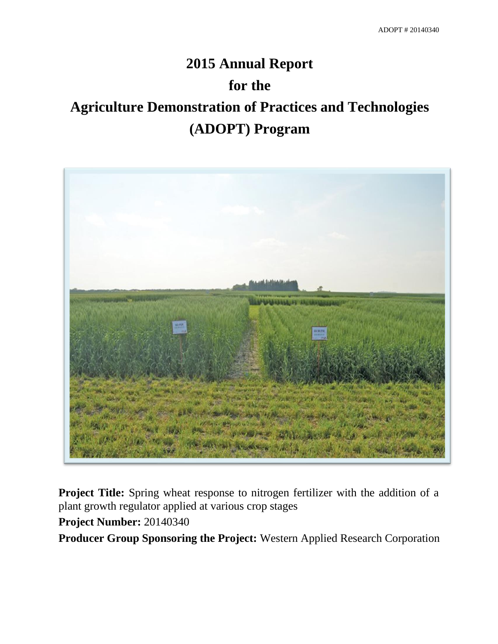# **2015 Annual Report for the Agriculture Demonstration of Practices and Technologies (ADOPT) Program**



**Project Title:** Spring wheat response to nitrogen fertilizer with the addition of a plant growth regulator applied at various crop stages

**Project Number:** 20140340

**Producer Group Sponsoring the Project:** Western Applied Research Corporation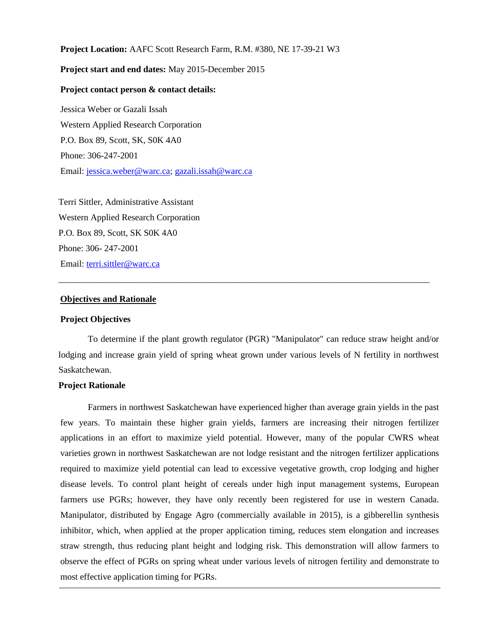**Project Location:** AAFC Scott Research Farm, R.M. #380, NE 17-39-21 W3

# **Project start and end dates:** May 2015-December 2015

# **Project contact person & contact details:**

Jessica Weber or Gazali Issah Western Applied Research Corporation P.O. Box 89, Scott, SK, S0K 4A0 Phone: 306-247-2001 Email: [jessica.weber@warc.ca;](mailto:jessica.weber@warc.ca) [gazali.issah@warc.ca](mailto:gazali.issah@warc.ca)

Terri Sittler, Administrative Assistant Western Applied Research Corporation P.O. Box 89, Scott, SK S0K 4A0 Phone: 306- 247-2001 Email: [terri.sittler@warc.ca](mailto:terri.sittler@warc.ca)

# **Objectives and Rationale**

## **Project Objectives**

To determine if the plant growth regulator (PGR) "Manipulator" can reduce straw height and/or lodging and increase grain yield of spring wheat grown under various levels of N fertility in northwest Saskatchewan.

\_\_\_\_\_\_\_\_\_\_\_\_\_\_\_\_\_\_\_\_\_\_\_\_\_\_\_\_\_\_\_\_\_\_\_\_\_\_\_\_\_\_\_\_\_\_\_\_\_\_\_\_\_\_\_\_\_\_\_\_\_\_\_\_\_\_\_\_\_\_\_\_\_\_\_\_\_\_\_\_\_\_\_

# **Project Rationale**

Farmers in northwest Saskatchewan have experienced higher than average grain yields in the past few years. To maintain these higher grain yields, farmers are increasing their nitrogen fertilizer applications in an effort to maximize yield potential. However, many of the popular CWRS wheat varieties grown in northwest Saskatchewan are not lodge resistant and the nitrogen fertilizer applications required to maximize yield potential can lead to excessive vegetative growth, crop lodging and higher disease levels. To control plant height of cereals under high input management systems, European farmers use PGRs; however, they have only recently been registered for use in western Canada. Manipulator, distributed by Engage Agro (commercially available in 2015), is a gibberellin synthesis inhibitor, which, when applied at the proper application timing, reduces stem elongation and increases straw strength, thus reducing plant height and lodging risk. This demonstration will allow farmers to observe the effect of PGRs on spring wheat under various levels of nitrogen fertility and demonstrate to most effective application timing for PGRs.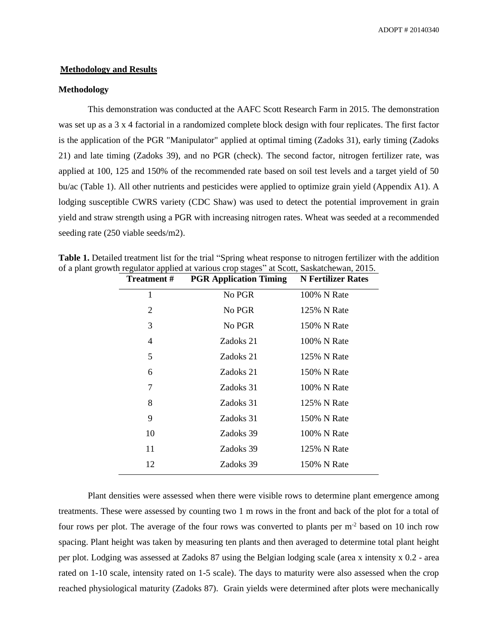#### **Methodology and Results**

# **Methodology**

This demonstration was conducted at the AAFC Scott Research Farm in 2015. The demonstration was set up as a 3 x 4 factorial in a randomized complete block design with four replicates. The first factor is the application of the PGR "Manipulator" applied at optimal timing (Zadoks 31), early timing (Zadoks 21) and late timing (Zadoks 39), and no PGR (check). The second factor, nitrogen fertilizer rate, was applied at 100, 125 and 150% of the recommended rate based on soil test levels and a target yield of 50 bu/ac (Table 1). All other nutrients and pesticides were applied to optimize grain yield (Appendix A1). A lodging susceptible CWRS variety (CDC Shaw) was used to detect the potential improvement in grain yield and straw strength using a PGR with increasing nitrogen rates. Wheat was seeded at a recommended seeding rate (250 viable seeds/m2).

**Table 1.** Detailed treatment list for the trial "Spring wheat response to nitrogen fertilizer with the addition of a plant growth regulator applied at various crop stages" at Scott, Saskatchewan, 2015.

| <b>Treatment</b> # | <b>PGR Application Timing</b> | <b>N</b> Fertilizer Rates |  |
|--------------------|-------------------------------|---------------------------|--|
| 1                  | No PGR                        | 100% N Rate               |  |
| 2                  | No PGR                        | 125% N Rate               |  |
| 3                  | No PGR                        | 150% N Rate               |  |
| 4                  | Zadoks 21                     | 100% N Rate               |  |
| 5                  | Zadoks 21                     | 125% N Rate               |  |
| 6                  | Zadoks 21                     | 150% N Rate               |  |
| 7                  | Zadoks 31                     | 100% N Rate               |  |
| 8                  | Zadoks 31                     | 125% N Rate               |  |
| 9                  | Zadoks 31                     | 150% N Rate               |  |
| 10                 | Zadoks 39                     | 100% N Rate               |  |
| 11                 | Zadoks 39                     | 125% N Rate               |  |
| 12                 | Zadoks 39                     | 150% N Rate               |  |
|                    |                               |                           |  |

Plant densities were assessed when there were visible rows to determine plant emergence among treatments. These were assessed by counting two 1 m rows in the front and back of the plot for a total of four rows per plot. The average of the four rows was converted to plants per  $m<sup>2</sup>$  based on 10 inch row spacing. Plant height was taken by measuring ten plants and then averaged to determine total plant height per plot. Lodging was assessed at Zadoks 87 using the Belgian lodging scale (area x intensity x 0.2 - area rated on 1-10 scale, intensity rated on 1-5 scale). The days to maturity were also assessed when the crop reached physiological maturity (Zadoks 87). Grain yields were determined after plots were mechanically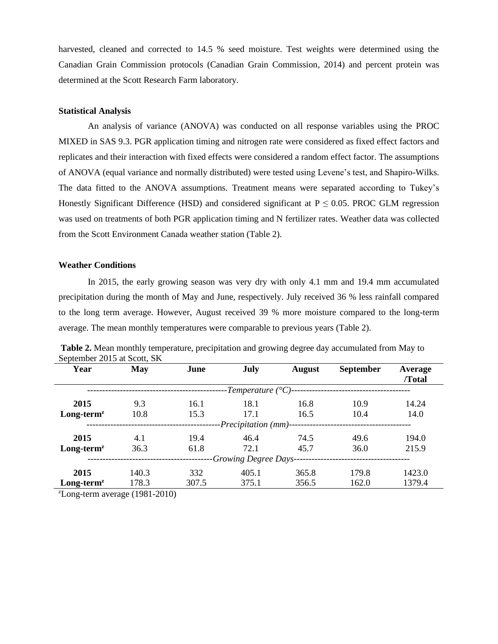harvested, cleaned and corrected to 14.5 % seed moisture. Test weights were determined using the Canadian Grain Commission protocols (Canadian Grain Commission, 2014) and percent protein was determined at the Scott Research Farm laboratory.

## **Statistical Analysis**

An analysis of variance (ANOVA) was conducted on all response variables using the PROC MIXED in SAS 9.3. PGR application timing and nitrogen rate were considered as fixed effect factors and replicates and their interaction with fixed effects were considered a random effect factor. The assumptions of ANOVA (equal variance and normally distributed) were tested using Levene's test, and Shapiro-Wilks. The data fitted to the ANOVA assumptions. Treatment means were separated according to Tukey's Honestly Significant Difference (HSD) and considered significant at  $P \le 0.05$ . PROC GLM regression was used on treatments of both PGR application timing and N fertilizer rates. Weather data was collected from the Scott Environment Canada weather station (Table 2).

# **Weather Conditions**

In 2015, the early growing season was very dry with only 4.1 mm and 19.4 mm accumulated precipitation during the month of May and June, respectively. July received 36 % less rainfall compared to the long term average. However, August received 39 % more moisture compared to the long-term average. The mean monthly temperatures were comparable to previous years (Table 2).

| Year         | May        | June  | July                                               | <b>August</b> | <b>September</b> | Average<br>/Total |
|--------------|------------|-------|----------------------------------------------------|---------------|------------------|-------------------|
|              |            |       | -Temperature $({}^{\circ}C)$ --------------------- |               |                  |                   |
| 2015         | 9.3        | 16.1  | 18.1                                               | 16.8          | 10.9             | 14.24             |
| $Long-termz$ | 10.8       | 15.3  | 17.1                                               | 16.5          | 10.4             | 14.0              |
|              |            |       |                                                    |               |                  |                   |
| 2015         | 4.1        | 19.4  | 46.4                                               | 74.5          | 49.6             | 194.0             |
| $Long-termz$ | 36.3       | 61.8  | 72.1                                               | 45.7          | 36.0             | 215.9             |
|              |            |       | -Growing Degree Days--                             |               |                  |                   |
| 2015         | 140.3      | 332   | 405.1                                              | 365.8         | 179.8            | 1423.0            |
| $Long-termz$ | 178.3<br>. | 307.5 | 375.1                                              | 356.5         | 162.0            | 1379.4            |

**Table 2.** Mean monthly temperature, precipitation and growing degree day accumulated from May to September 2015 at Scott, SK

 $\textdegree$ Long-term average (1981-2010)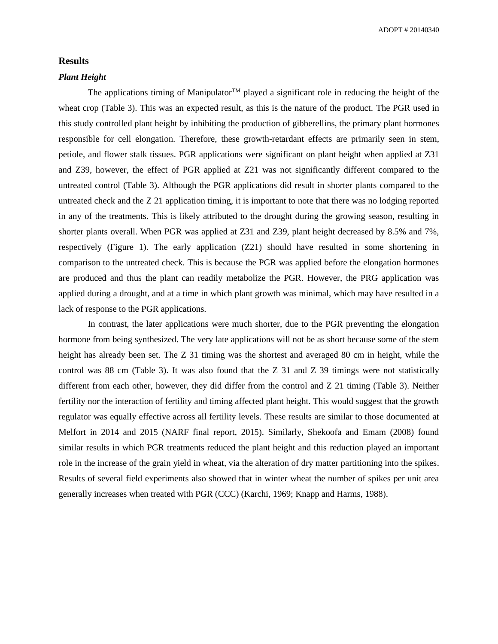ADOPT # 20140340

## **Results**

# *Plant Height*

The applications timing of Manipulator<sup>TM</sup> played a significant role in reducing the height of the wheat crop (Table 3). This was an expected result, as this is the nature of the product. The PGR used in this study controlled plant height by inhibiting the production of gibberellins, the primary plant hormones responsible for cell elongation. Therefore, these growth-retardant effects are primarily seen in stem, petiole, and flower stalk tissues. PGR applications were significant on plant height when applied at Z31 and Z39, however, the effect of PGR applied at Z21 was not significantly different compared to the untreated control (Table 3). Although the PGR applications did result in shorter plants compared to the untreated check and the Z 21 application timing, it is important to note that there was no lodging reported in any of the treatments. This is likely attributed to the drought during the growing season, resulting in shorter plants overall. When PGR was applied at Z31 and Z39, plant height decreased by 8.5% and 7%, respectively (Figure 1). The early application (Z21) should have resulted in some shortening in comparison to the untreated check. This is because the PGR was applied before the elongation hormones are produced and thus the plant can readily metabolize the PGR. However, the PRG application was applied during a drought, and at a time in which plant growth was minimal, which may have resulted in a lack of response to the PGR applications.

In contrast, the later applications were much shorter, due to the PGR preventing the elongation hormone from being synthesized. The very late applications will not be as short because some of the stem height has already been set. The Z 31 timing was the shortest and averaged 80 cm in height, while the control was 88 cm (Table 3). It was also found that the Z 31 and Z 39 timings were not statistically different from each other, however, they did differ from the control and Z 21 timing (Table 3). Neither fertility nor the interaction of fertility and timing affected plant height. This would suggest that the growth regulator was equally effective across all fertility levels. These results are similar to those documented at Melfort in 2014 and 2015 (NARF final report, 2015). Similarly, Shekoofa and Emam (2008) found similar results in which PGR treatments reduced the plant height and this reduction played an important role in the increase of the grain yield in wheat, via the alteration of dry matter partitioning into the spikes. Results of several field experiments also showed that in winter wheat the number of spikes per unit area generally increases when treated with PGR (CCC) (Karchi, 1969; Knapp and Harms, 1988).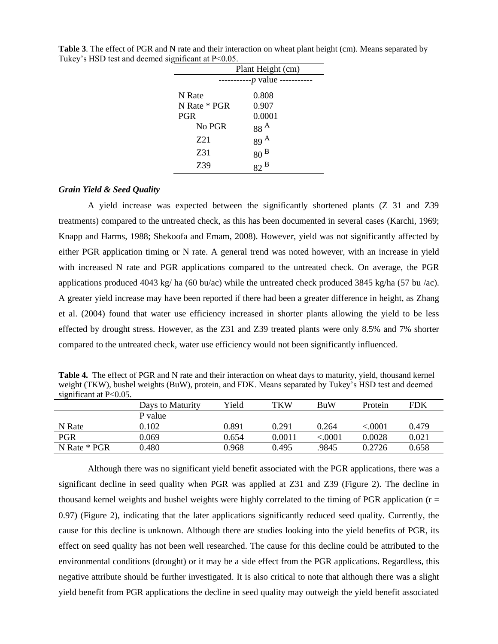| Plant Height (cm) |                     |  |
|-------------------|---------------------|--|
| -------           | $-p$ value -------- |  |
| N Rate            | 0.808               |  |
| N Rate * PGR      | 0.907               |  |
| <b>PGR</b>        | 0.0001              |  |
| No PGR            | 88 <sup>A</sup>     |  |
| Z21               | 89 <sup>A</sup>     |  |
| Z31               | 80 <sup>B</sup>     |  |
| Z39               | B                   |  |

**Table 3**. The effect of PGR and N rate and their interaction on wheat plant height (cm). Means separated by Tukey's HSD test and deemed significant at P<0.05.

## *Grain Yield & Seed Quality*

A yield increase was expected between the significantly shortened plants (Z 31 and Z39 treatments) compared to the untreated check, as this has been documented in several cases (Karchi, 1969; Knapp and Harms, 1988; Shekoofa and Emam, 2008). However, yield was not significantly affected by either PGR application timing or N rate. A general trend was noted however, with an increase in yield with increased N rate and PGR applications compared to the untreated check. On average, the PGR applications produced 4043 kg/ ha (60 bu/ac) while the untreated check produced 3845 kg/ha (57 bu /ac). A greater yield increase may have been reported if there had been a greater difference in height, as Zhang et al. (2004) found that water use efficiency increased in shorter plants allowing the yield to be less effected by drought stress. However, as the Z31 and Z39 treated plants were only 8.5% and 7% shorter compared to the untreated check, water use efficiency would not been significantly influenced.

**Table 4.** The effect of PGR and N rate and their interaction on wheat days to maturity, yield, thousand kernel weight (TKW), bushel weights (BuW), protein, and FDK. Means separated by Tukey's HSD test and deemed significant at P<0.05.

|              | Days to Maturity | Yield | TKW    | <b>BuW</b> | Protein | <b>FDK</b> |
|--------------|------------------|-------|--------|------------|---------|------------|
|              | P value          |       |        |            |         |            |
| N Rate       | 0.102            | 0.891 | 0.291  | 0.264      | < 0001  | 0.479      |
| <b>PGR</b>   | 0.069            | 0.654 | 0.0011 | ${<}.0001$ | 0.0028  | 0.021      |
| N Rate * PGR | 0.480            | 0.968 | 0.495  | .9845      | 0.2726  | 0.658      |

Although there was no significant yield benefit associated with the PGR applications, there was a significant decline in seed quality when PGR was applied at Z31 and Z39 (Figure 2). The decline in thousand kernel weights and bushel weights were highly correlated to the timing of PGR application ( $r =$ 0.97) (Figure 2), indicating that the later applications significantly reduced seed quality. Currently, the cause for this decline is unknown. Although there are studies looking into the yield benefits of PGR, its effect on seed quality has not been well researched. The cause for this decline could be attributed to the environmental conditions (drought) or it may be a side effect from the PGR applications. Regardless, this negative attribute should be further investigated. It is also critical to note that although there was a slight yield benefit from PGR applications the decline in seed quality may outweigh the yield benefit associated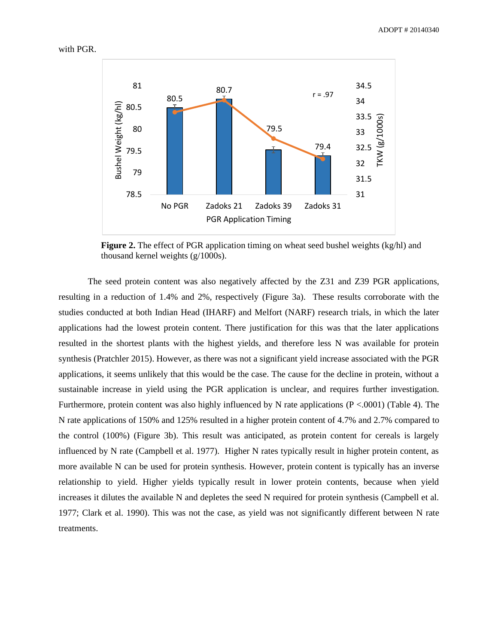

**Figure 2.** The effect of PGR application timing on wheat seed bushel weights (kg/hl) and thousand kernel weights (g/1000s).

The seed protein content was also negatively affected by the Z31 and Z39 PGR applications, resulting in a reduction of 1.4% and 2%, respectively (Figure 3a). These results corroborate with the studies conducted at both Indian Head (IHARF) and Melfort (NARF) research trials, in which the later applications had the lowest protein content. There justification for this was that the later applications resulted in the shortest plants with the highest yields, and therefore less N was available for protein synthesis (Pratchler 2015). However, as there was not a significant yield increase associated with the PGR applications, it seems unlikely that this would be the case. The cause for the decline in protein, without a sustainable increase in yield using the PGR application is unclear, and requires further investigation. Furthermore, protein content was also highly influenced by N rate applications (P <.0001) (Table 4). The N rate applications of 150% and 125% resulted in a higher protein content of 4.7% and 2.7% compared to the control (100%) (Figure 3b). This result was anticipated, as protein content for cereals is largely influenced by N rate (Campbell et al. 1977). Higher N rates typically result in higher protein content, as more available N can be used for protein synthesis. However, protein content is typically has an inverse relationship to yield. Higher yields typically result in lower protein contents, because when yield increases it dilutes the available N and depletes the seed N required for protein synthesis (Campbell et al. 1977; Clark et al. 1990). This was not the case, as yield was not significantly different between N rate treatments.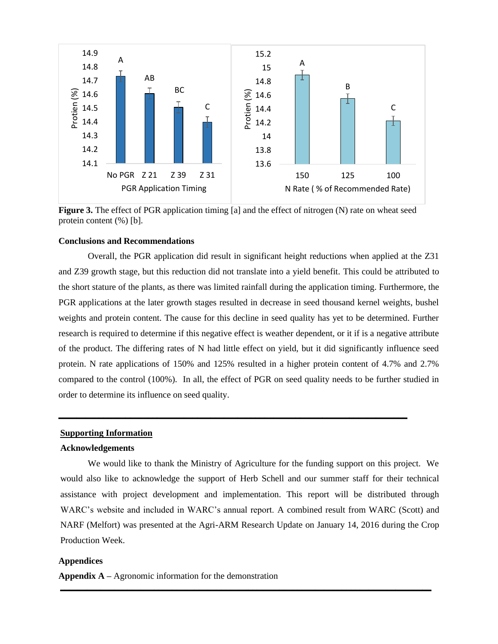

**Figure 3.** The effect of PGR application timing [a] and the effect of nitrogen (N) rate on wheat seed protein content (%) [b].

## **Conclusions and Recommendations**

Overall, the PGR application did result in significant height reductions when applied at the Z31 and Z39 growth stage, but this reduction did not translate into a yield benefit. This could be attributed to the short stature of the plants, as there was limited rainfall during the application timing. Furthermore, the PGR applications at the later growth stages resulted in decrease in seed thousand kernel weights, bushel weights and protein content. The cause for this decline in seed quality has yet to be determined. Further research is required to determine if this negative effect is weather dependent, or it if is a negative attribute of the product. The differing rates of N had little effect on yield, but it did significantly influence seed protein. N rate applications of 150% and 125% resulted in a higher protein content of 4.7% and 2.7% compared to the control (100%). In all, the effect of PGR on seed quality needs to be further studied in order to determine its influence on seed quality.

**\_\_\_\_\_\_\_\_\_\_\_\_\_\_\_\_\_\_\_\_\_\_\_\_\_\_\_\_\_\_\_\_\_\_\_\_\_\_\_\_\_\_\_\_\_\_\_\_\_\_\_\_\_\_\_\_\_\_\_\_\_\_\_\_\_\_\_\_\_\_\_\_\_\_\_\_\_\_**

#### **Supporting Information**

## **Acknowledgements**

We would like to thank the Ministry of Agriculture for the funding support on this project. We would also like to acknowledge the support of Herb Schell and our summer staff for their technical assistance with project development and implementation. This report will be distributed through WARC's website and included in WARC's annual report. A combined result from WARC (Scott) and NARF (Melfort) was presented at the Agri-ARM Research Update on January 14, 2016 during the Crop Production Week.

**\_\_\_\_\_\_\_\_\_\_\_\_\_\_\_\_\_\_\_\_\_\_\_\_\_\_\_\_\_\_\_\_\_\_\_\_\_\_\_\_\_\_\_\_\_\_\_\_\_\_\_\_\_\_\_\_\_\_\_\_\_\_\_\_\_\_\_\_\_\_\_\_\_\_\_\_\_\_\_\_\_\_\_**

## **Appendices**

**Appendix A –** Agronomic information for the demonstration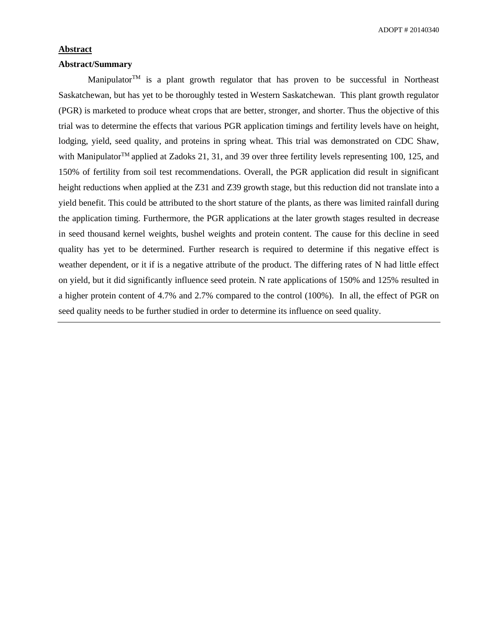ADOPT # 20140340

## **Abstract**

## **Abstract/Summary**

Manipulator  $T<sup>M</sup>$  is a plant growth regulator that has proven to be successful in Northeast Saskatchewan, but has yet to be thoroughly tested in Western Saskatchewan. This plant growth regulator (PGR) is marketed to produce wheat crops that are better, stronger, and shorter. Thus the objective of this trial was to determine the effects that various PGR application timings and fertility levels have on height, lodging, yield, seed quality, and proteins in spring wheat. This trial was demonstrated on CDC Shaw, with Manipulator<sup>™</sup> applied at Zadoks 21, 31, and 39 over three fertility levels representing 100, 125, and 150% of fertility from soil test recommendations. Overall, the PGR application did result in significant height reductions when applied at the Z31 and Z39 growth stage, but this reduction did not translate into a yield benefit. This could be attributed to the short stature of the plants, as there was limited rainfall during the application timing. Furthermore, the PGR applications at the later growth stages resulted in decrease in seed thousand kernel weights, bushel weights and protein content. The cause for this decline in seed quality has yet to be determined. Further research is required to determine if this negative effect is weather dependent, or it if is a negative attribute of the product. The differing rates of N had little effect on yield, but it did significantly influence seed protein. N rate applications of 150% and 125% resulted in a higher protein content of 4.7% and 2.7% compared to the control (100%). In all, the effect of PGR on seed quality needs to be further studied in order to determine its influence on seed quality.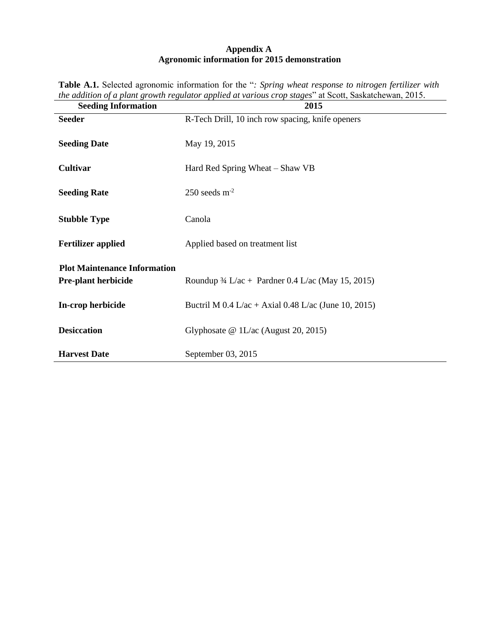# **Appendix A Agronomic information for 2015 demonstration**

| <b>Seeding Information</b>          | 2015                                                         |
|-------------------------------------|--------------------------------------------------------------|
| <b>Seeder</b>                       | R-Tech Drill, 10 inch row spacing, knife openers             |
| <b>Seeding Date</b>                 | May 19, 2015                                                 |
| <b>Cultivar</b>                     | Hard Red Spring Wheat – Shaw VB                              |
| <b>Seeding Rate</b>                 | $250$ seeds m <sup>-2</sup>                                  |
| <b>Stubble Type</b>                 | Canola                                                       |
| <b>Fertilizer applied</b>           | Applied based on treatment list                              |
| <b>Plot Maintenance Information</b> |                                                              |
| <b>Pre-plant herbicide</b>          | Roundup $\frac{3}{4}$ L/ac + Pardner 0.4 L/ac (May 15, 2015) |
| In-crop herbicide                   | Buctril M $0.4$ L/ac + Axial $0.48$ L/ac (June 10, 2015)     |
| <b>Desiccation</b>                  | Glyphosate @ 1L/ac (August 20, 2015)                         |
| <b>Harvest Date</b>                 | September 03, 2015                                           |

**Table A.1.** Selected agronomic information for the "*: Spring wheat response to nitrogen fertilizer with the addition of a plant growth regulator applied at various crop stages*" at Scott, Saskatchewan, 2015.